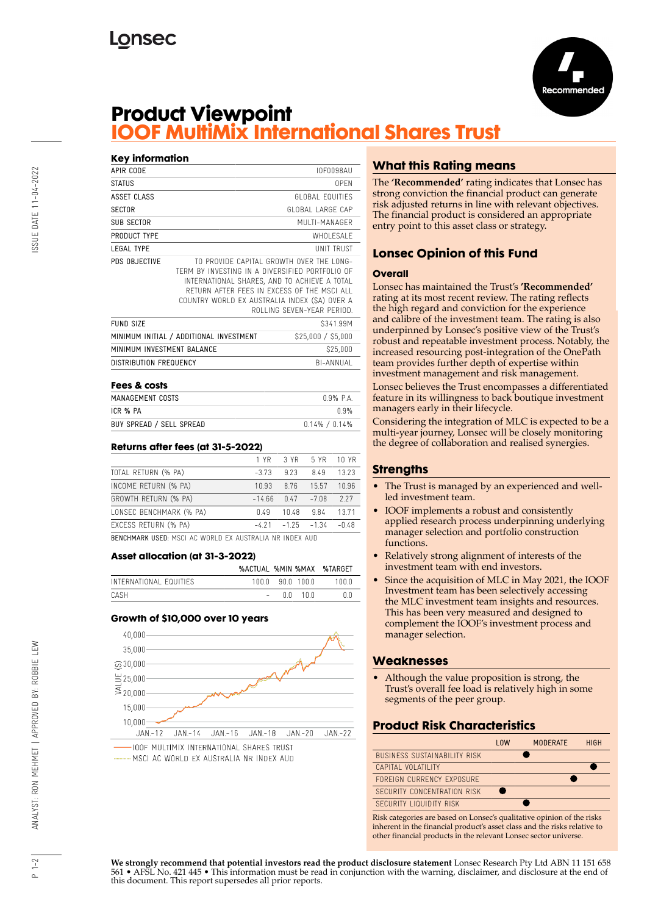

# **Product Viewpoint IOOF MultiMix International Shares Trust**

### **Key information** APIR CODE IOF0098AU STATUS OPEN ASSET CLASS GLOBAL EQUITIES SECTOR GLOBAL LARGE CAP SUB SECTOR MULTI-MANAGER PRODUCT TYPE WHOLESALE LEGAL TYPE UNIT TRUST PDS OBJECTIVE TO PROVIDE CAPITAL GROWTH OVER THE LONG-TERM BY INVESTING IN A DIVERSIFIED PORTFOLIO OF INTERNATIONAL SHARES, AND TO ACHIEVE A TOTAL RETURN AFTER FEES IN EXCESS OF THE MSCI ALL COUNTRY WORLD EX AUSTRALIA INDEX (\$A) OVER A ROLLING SEVEN-YEAR PERIOD. FUND SIZE S341.99M MINIMUM INITIAL / ADDITIONAL INVESTMENT \$25,000 / \$5,000 MINIMUM INVESTMENT BALANCE \$25,000 DISTRIBUTION FREQUENCY BI-ANNUAL

| Fees & costs             |                   |
|--------------------------|-------------------|
| MANAGEMENT COSTS         | 0.9% PA           |
| ICR % PA                 | በ ዓ%              |
| BUY SPREAD / SELL SPREAD | $0.14\% / 0.14\%$ |

### **Returns after fees (at 31-5-2022)**

|                                                             | 1 YR 1  |                       | 3 YR 5 YR 10 YR |         |  |  |
|-------------------------------------------------------------|---------|-----------------------|-----------------|---------|--|--|
| TOTAL RETURN (% PA)                                         | $-3.73$ | 9.23                  | 8.49            | 13.23   |  |  |
| INCOME RETURN (% PA)                                        | 10.93   | 8.76                  | 15.57           | 10.96   |  |  |
| GROWTH RETURN (% PA)                                        | -14.66  |                       | $0.47 - 7.08$   | 227     |  |  |
| LONSEC BENCHMARK (% PA)                                     | 0.49    | 10.48                 | 9.84            | 13.71   |  |  |
| EXCESS RETURN (% PA)                                        |         | $-4.21 - 1.25 - 1.34$ |                 | $-0.48$ |  |  |
| 5 FUAIN LENI HAFS JIAAL LA NIADLA FV LUATRILLI NA INAFV LUA |         |                       |                 |         |  |  |

BENCHMARK USED: MSCI AC WORLD EX AUSTRALIA NR INDEX AUD

### **Asset allocation (at 31-3-2022)**

|                        |               |       | %ACTUAL %MIN %MAX %TARGET |
|------------------------|---------------|-------|---------------------------|
| INTERNATIONAL FOUITIES | 1000 900 1000 |       | 1 N N N                   |
| CASH                   | n n           | . 100 | 0.0                       |

### **Growth of \$10,000 over 10 years**



MSCLAC WORLD FX AUSTRALIA NR INDEX AUD

# **What this Rating means**

The **'Recommended'** rating indicates that Lonsec has strong conviction the financial product can generate risk adjusted returns in line with relevant objectives. The financial product is considered an appropriate entry point to this asset class or strategy.

# **Lonsec Opinion of this Fund**

#### **Overall**

Lonsec has maintained the Trust's **'Recommended'** rating at its most recent review. The rating reflects the high regard and conviction for the experience and calibre of the investment team. The rating is also underpinned by Lonsec's positive view of the Trust's robust and repeatable investment process. Notably, the increased resourcing post-integration of the OnePath team provides further depth of expertise within investment management and risk management. Lonsec believes the Trust encompasses a differentiated feature in its willingness to back boutique investment managers early in their lifecycle.

Considering the integration of MLC is expected to be a multi-year journey, Lonsec will be closely monitoring the degree of collaboration and realised synergies.

### **Strengths**

- The Trust is managed by an experienced and wellled investment team.
- IOOF implements a robust and consistently applied research process underpinning underlying manager selection and portfolio construction functions.
- Relatively strong alignment of interests of the investment team with end investors.
- Since the acquisition of MLC in May 2021, the IOOF Investment team has been selectively accessing the MLC investment team insights and resources. This has been very measured and designed to complement the IOOF's investment process and manager selection.

### **Weaknesses**

• Although the value proposition is strong, the Trust's overall fee load is relatively high in some segments of the peer group.

### **Product Risk Characteristics**



Risk categories are based on Lonsec's qualitative opinion of the risks inherent in the financial product's asset class and the risks relative to other financial products in the relevant Lonsec sector universe.